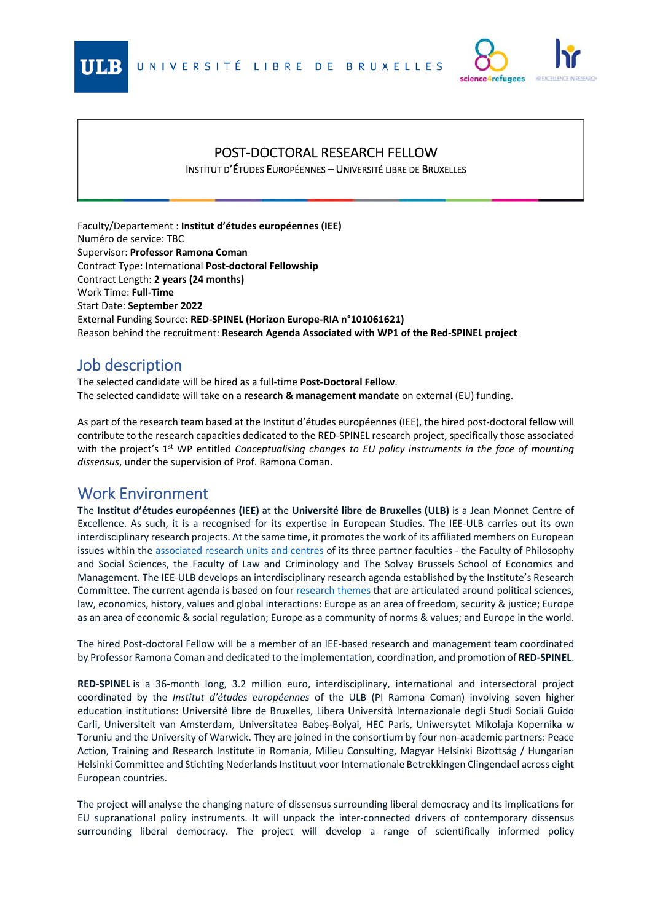



## POST‐DOCTORAL RESEARCH FELLOW

INSTITUT D'ÉTUDES EUROPÉENNES – UNIVERSITÉ LIBRE DE BRUXELLES

Faculty/Departement : **Institut d'études européennes (IEE)**  Numéro de service: TBC Supervisor: **Professor Ramona Coman** Contract Type: International **Post‐doctoral Fellowship** Contract Length: **2 years (24 months)** Work Time: **Full‐Time**  Start Date: **September 2022** External Funding Source: **RED‐SPINEL (Horizon Europe‐RIA n°101061621)**  Reason behind the recruitment: **Research Agenda Associated with WP1 of the Red‐SPINEL project** 

## Job description

The selected candidate will be hired as a full‐time **Post‐Doctoral Fellow**. The selected candidate will take on a **research & management mandate** on external (EU) funding.

As part of the research team based at the Institut d'études européennes (IEE), the hired post‐doctoral fellow will contribute to the research capacities dedicated to the RED‐SPINEL research project, specifically those associated with the project's 1<sup>st</sup> WP entitled *Conceptualising changes to EU policy instruments in the face of mounting dissensus*, under the supervision of Prof. Ramona Coman.

## Work Environment

The **Institut d'études européennes (IEE)** at the **Université libre de Bruxelles (ULB)** is a Jean Monnet Centre of Excellence. As such, it is a recognised for its expertise in European Studies. The IEE-ULB carries out its own interdisciplinary research projects. At the same time, it promotes the work of its affiliated members on European issues within the associated research units and centres of its three partner faculties ‐ the Faculty of Philosophy and Social Sciences, the Faculty of Law and Criminology and The Solvay Brussels School of Economics and Management. The IEE‐ULB develops an interdisciplinary research agenda established by the Institute's Research Committee. The current agenda is based on four research themes that are articulated around political sciences, law, economics, history, values and global interactions: Europe as an area of freedom, security & justice; Europe as an area of economic & social regulation; Europe as a community of norms & values; and Europe in the world.

The hired Post‐doctoral Fellow will be a member of an IEE‐based research and management team coordinated by Professor Ramona Coman and dedicated to the implementation, coordination, and promotion of **RED‐SPINEL**.

**RED‐SPINEL** is a 36‐month long, 3.2 million euro, interdisciplinary, international and intersectoral project coordinated by the *Institut d'études européennes*  of the ULB (PI Ramona Coman) involving seven higher education institutions: Université libre de Bruxelles, Libera Università Internazionale degli Studi Sociali Guido Carli, Universiteit van Amsterdam, Universitatea Babeș‐Bolyai, HEC Paris, Uniwersytet Mikołaja Kopernika w Toruniu and the University of Warwick. They are joined in the consortium by four non‐academic partners: Peace Action, Training and Research Institute in Romania, Milieu Consulting, Magyar Helsinki Bizottság / Hungarian Helsinki Committee and Stichting Nederlands Instituut voor Internationale Betrekkingen Clingendael across eight European countries.

The project will analyse the changing nature of dissensus surrounding liberal democracy and its implications for EU supranational policy instruments. It will unpack the inter‐connected drivers of contemporary dissensus surrounding liberal democracy. The project will develop a range of scientifically informed policy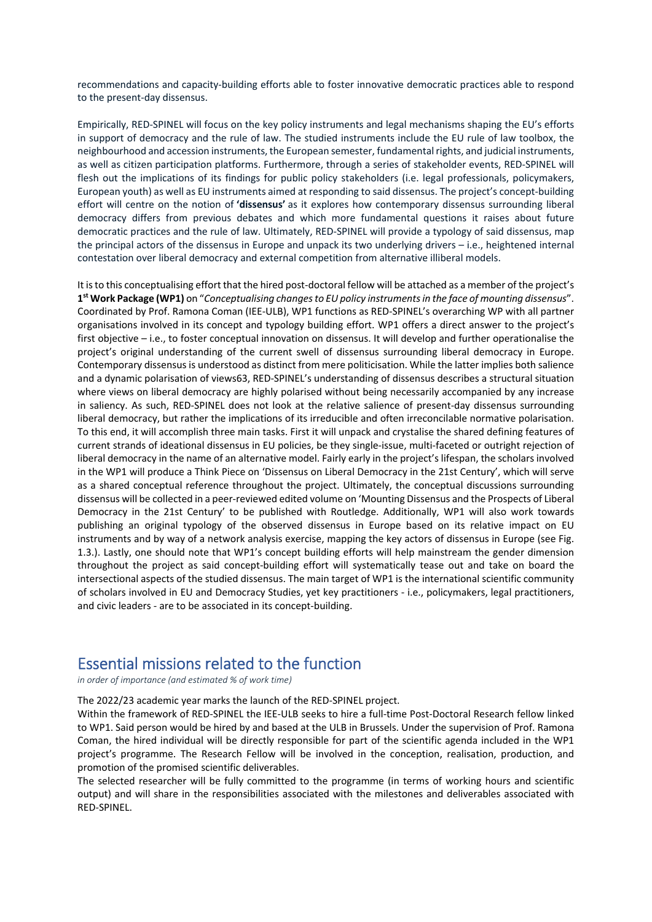recommendations and capacity‐building efforts able to foster innovative democratic practices able to respond to the present‐day dissensus.

Empirically, RED‐SPINEL will focus on the key policy instruments and legal mechanisms shaping the EU's efforts in support of democracy and the rule of law. The studied instruments include the EU rule of law toolbox, the neighbourhood and accession instruments, the European semester, fundamental rights, and judicial instruments, as well as citizen participation platforms. Furthermore, through a series of stakeholder events, RED‐SPINEL will flesh out the implications of its findings for public policy stakeholders (i.e. legal professionals, policymakers, European youth) as well as EU instruments aimed at responding to said dissensus. The project's concept‐building effort will centre on the notion of **'dissensus'** as it explores how contemporary dissensus surrounding liberal democracy differs from previous debates and which more fundamental questions it raises about future democratic practices and the rule of law. Ultimately, RED‐SPINEL will provide a typology of said dissensus, map the principal actors of the dissensus in Europe and unpack its two underlying drivers – i.e., heightened internal contestation over liberal democracy and external competition from alternative illiberal models.

It is to this conceptualising effort that the hired post-doctoral fellow will be attached as a member of the project's **1st Work Package (WP1)** on "*Conceptualising changes to EU policy instruments in the face of mounting dissensus*". Coordinated by Prof. Ramona Coman (IEE‐ULB), WP1 functions as RED‐SPINEL's overarching WP with all partner organisations involved in its concept and typology building effort. WP1 offers a direct answer to the project's first objective – i.e., to foster conceptual innovation on dissensus. It will develop and further operationalise the project's original understanding of the current swell of dissensus surrounding liberal democracy in Europe. Contemporary dissensus is understood as distinct from mere politicisation. While the latter implies both salience and a dynamic polarisation of views63, RED‐SPINEL's understanding of dissensus describes a structural situation where views on liberal democracy are highly polarised without being necessarily accompanied by any increase in saliency. As such, RED-SPINEL does not look at the relative salience of present-day dissensus surrounding liberal democracy, but rather the implications of its irreducible and often irreconcilable normative polarisation. To this end, it will accomplish three main tasks. First it will unpack and crystalise the shared defining features of current strands of ideational dissensus in EU policies, be they single‐issue, multi‐faceted or outright rejection of liberal democracy in the name of an alternative model. Fairly early in the project's lifespan, the scholars involved in the WP1 will produce a Think Piece on 'Dissensus on Liberal Democracy in the 21st Century', which will serve as a shared conceptual reference throughout the project. Ultimately, the conceptual discussions surrounding dissensus will be collected in a peer‐reviewed edited volume on 'Mounting Dissensus and the Prospects of Liberal Democracy in the 21st Century' to be published with Routledge. Additionally, WP1 will also work towards publishing an original typology of the observed dissensus in Europe based on its relative impact on EU instruments and by way of a network analysis exercise, mapping the key actors of dissensus in Europe (see Fig. 1.3.). Lastly, one should note that WP1's concept building efforts will help mainstream the gender dimension throughout the project as said concept‐building effort will systematically tease out and take on board the intersectional aspects of the studied dissensus. The main target of WP1 is the international scientific community of scholars involved in EU and Democracy Studies, yet key practitioners ‐ i.e., policymakers, legal practitioners, and civic leaders - are to be associated in its concept-building.

## Essential missions related to the function

*in order of importance (and estimated % of work time)* 

The 2022/23 academic year marks the launch of the RED‐SPINEL project.

Within the framework of RED‐SPINEL the IEE‐ULB seeks to hire a full‐time Post‐Doctoral Research fellow linked to WP1. Said person would be hired by and based at the ULB in Brussels. Under the supervision of Prof. Ramona Coman, the hired individual will be directly responsible for part of the scientific agenda included in the WP1 project's programme. The Research Fellow will be involved in the conception, realisation, production, and promotion of the promised scientific deliverables.

The selected researcher will be fully committed to the programme (in terms of working hours and scientific output) and will share in the responsibilities associated with the milestones and deliverables associated with RED‐SPINEL.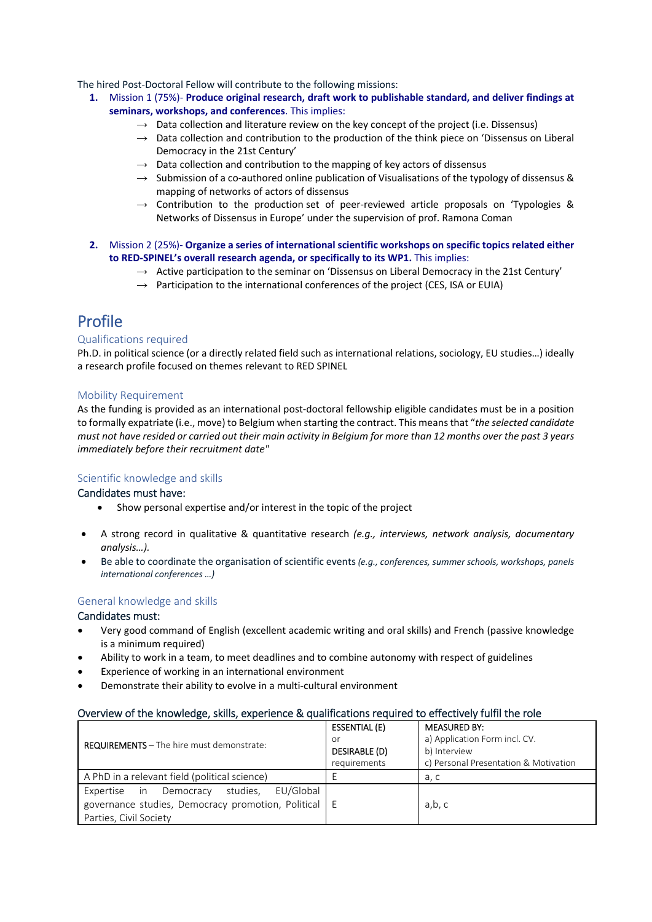The hired Post‐Doctoral Fellow will contribute to the following missions:

- **1.** Mission 1 (75%)‐ **Produce original research, draft work to publishable standard, and deliver findings at seminars, workshops, and conferences**. This implies:
	- $\rightarrow$  Data collection and literature review on the key concept of the project (i.e. Dissensus)
	- $\rightarrow$  Data collection and contribution to the production of the think piece on 'Dissensus on Liberal Democracy in the 21st Century'
	- $\rightarrow$  Data collection and contribution to the mapping of key actors of dissensus
	- $\rightarrow$  Submission of a co-authored online publication of Visualisations of the typology of dissensus & mapping of networks of actors of dissensus
	- $\rightarrow$  Contribution to the production set of peer-reviewed article proposals on 'Typologies & Networks of Dissensus in Europe' under the supervision of prof. Ramona Coman
- **2.** Mission 2 (25%)‐ **Organize a series of international scientific workshops on specific topics related either to RED‐SPINEL's overall research agenda, or specifically to its WP1.** This implies:
	- $\rightarrow$  Active participation to the seminar on 'Dissensus on Liberal Democracy in the 21st Century'
	- $\rightarrow$  Participation to the international conferences of the project (CES, ISA or EUIA)

## Profile

#### Qualifications required

Ph.D. in political science (or a directly related field such as international relations, sociology, EU studies…) ideally a research profile focused on themes relevant to RED SPINEL

#### Mobility Requirement

As the funding is provided as an international post-doctoral fellowship eligible candidates must be in a position to formally expatriate (i.e., move) to Belgium when starting the contract. This means that "*the selected candidate must not have resided or carried out their main activity in Belgium for more than 12 months over the past 3 years immediately before their recruitment date"* 

## Scientific knowledge and skills

#### Candidates must have:

- Show personal expertise and/or interest in the topic of the project
- A strong record in qualitative & quantitative research *(e.g., interviews, network analysis, documentary analysis…).*
- Be able to coordinate the organisation of scientific events *(e.g., conferences, summer schools, workshops, panels international conferences …)*

## General knowledge and skills

#### Candidates must:

- Very good command of English (excellent academic writing and oral skills) and French (passive knowledge is a minimum required)
- Ability to work in a team, to meet deadlines and to combine autonomy with respect of guidelines
- Experience of working in an international environment
- Demonstrate their ability to evolve in a multi‐cultural environment

## Overview of the knowledge, skills, experience & qualifications required to effectively fulfil the role

|                                                        | <b>ESSENTIAL (E)</b> | <b>MEASURED BY:</b>                   |
|--------------------------------------------------------|----------------------|---------------------------------------|
| <b>REQUIREMENTS - The hire must demonstrate:</b>       | or                   | a) Application Form incl. CV.         |
|                                                        | DESIRABLE (D)        | b) Interview                          |
|                                                        | requirements         | c) Personal Presentation & Motivation |
| A PhD in a relevant field (political science)          |                      | a, c                                  |
| EU/Global<br>studies.<br>Expertise in<br>Democracy     |                      |                                       |
| governance studies, Democracy promotion, Political   E |                      | a,b, c                                |
| Parties, Civil Society                                 |                      |                                       |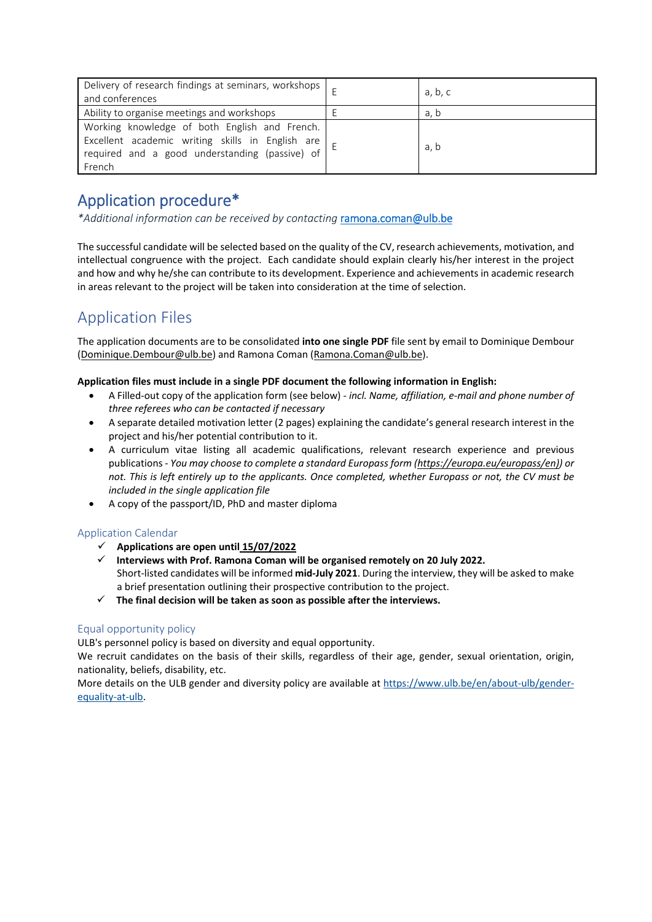| Delivery of research findings at seminars, workshops<br>and conferences                                                                                       | a, b, c |
|---------------------------------------------------------------------------------------------------------------------------------------------------------------|---------|
| Ability to organise meetings and workshops                                                                                                                    | a, b    |
| Working knowledge of both English and French.<br>Excellent academic writing skills in English are<br>required and a good understanding (passive) of<br>French | a, b    |

## Application procedure\*

*\*Additional information can be received by contacting* ramona.coman@ulb.be

The successful candidate will be selected based on the quality of the CV, research achievements, motivation, and intellectual congruence with the project. Each candidate should explain clearly his/her interest in the project and how and why he/she can contribute to its development. Experience and achievements in academic research in areas relevant to the project will be taken into consideration at the time of selection.

## Application Files

The application documents are to be consolidated **into one single PDF** file sent by email to Dominique Dembour (Dominique.Dembour@ulb.be) and Ramona Coman (Ramona.Coman@ulb.be).

## **Application files must include in a single PDF document the following information in English:**

- A Filled‐out copy of the application form (see below) ‐ *incl. Name, affiliation, e‐mail and phone number of three referees who can be contacted if necessary*
- A separate detailed motivation letter (2 pages) explaining the candidate's general research interest in the project and his/her potential contribution to it.
- A curriculum vitae listing all academic qualifications, relevant research experience and previous publications ‐ *You may choose to complete a standard Europass form (https://europa.eu/europass/en)) or not. This is left entirely up to the applicants. Once completed, whether Europass or not, the CV must be included in the single application file*
- A copy of the passport/ID, PhD and master diploma

## Application Calendar

- **Applications are open until 15/07/2022**
- **Interviews with Prof. Ramona Coman will be organised remotely on 20 July 2022.**  Short‐listed candidates will be informed **mid‐July 2021**. During the interview, they will be asked to make a brief presentation outlining their prospective contribution to the project.
- $\checkmark$  The final decision will be taken as soon as possible after the interviews.

## Equal opportunity policy

ULB's personnel policy is based on diversity and equal opportunity.

We recruit candidates on the basis of their skills, regardless of their age, gender, sexual orientation, origin, nationality, beliefs, disability, etc.

More details on the ULB gender and diversity policy are available at https://www.ulb.be/en/about-ulb/genderequality‐at‐ulb.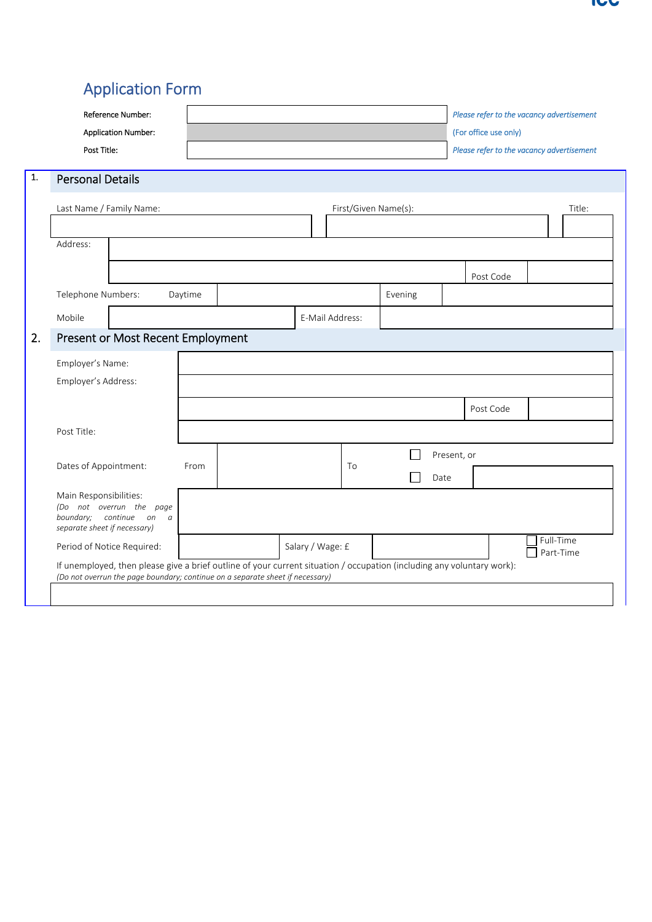# Application Form

| <b>Reference Number:</b><br><b>Application Number:</b>                                                                                                                                                  |         |                      |         | Please refer to the vacancy advertisement<br>(For office use only) |                        |
|---------------------------------------------------------------------------------------------------------------------------------------------------------------------------------------------------------|---------|----------------------|---------|--------------------------------------------------------------------|------------------------|
| Post Title:                                                                                                                                                                                             |         |                      |         | Please refer to the vacancy advertisement                          |                        |
| <b>Personal Details</b>                                                                                                                                                                                 |         |                      |         |                                                                    |                        |
| Last Name / Family Name:                                                                                                                                                                                |         | First/Given Name(s): |         |                                                                    | Title:                 |
| Address:                                                                                                                                                                                                |         |                      |         |                                                                    |                        |
|                                                                                                                                                                                                         |         |                      |         | Post Code                                                          |                        |
| Telephone Numbers:                                                                                                                                                                                      | Daytime |                      | Evening |                                                                    |                        |
| Mobile                                                                                                                                                                                                  |         | E-Mail Address:      |         |                                                                    |                        |
| Present or Most Recent Employment                                                                                                                                                                       |         |                      |         |                                                                    |                        |
| Employer's Name:                                                                                                                                                                                        |         |                      |         |                                                                    |                        |
| Employer's Address:                                                                                                                                                                                     |         |                      |         |                                                                    |                        |
|                                                                                                                                                                                                         |         |                      |         | Post Code                                                          |                        |
| Post Title:                                                                                                                                                                                             |         |                      |         |                                                                    |                        |
|                                                                                                                                                                                                         |         |                      |         | Present, or                                                        |                        |
| Dates of Appointment:                                                                                                                                                                                   | From    | To                   |         | Date                                                               |                        |
| Main Responsibilities:<br>(Do not overrun the page<br>boundary; continue on a<br>separate sheet if necessary)                                                                                           |         |                      |         |                                                                    |                        |
| Period of Notice Required:                                                                                                                                                                              |         | Salary / Wage: £     |         |                                                                    | Full-Time<br>Part-Time |
| If unemployed, then please give a brief outline of your current situation / occupation (including any voluntary work):<br>(Do not overrun the page boundary; continue on a separate sheet if necessary) |         |                      |         |                                                                    |                        |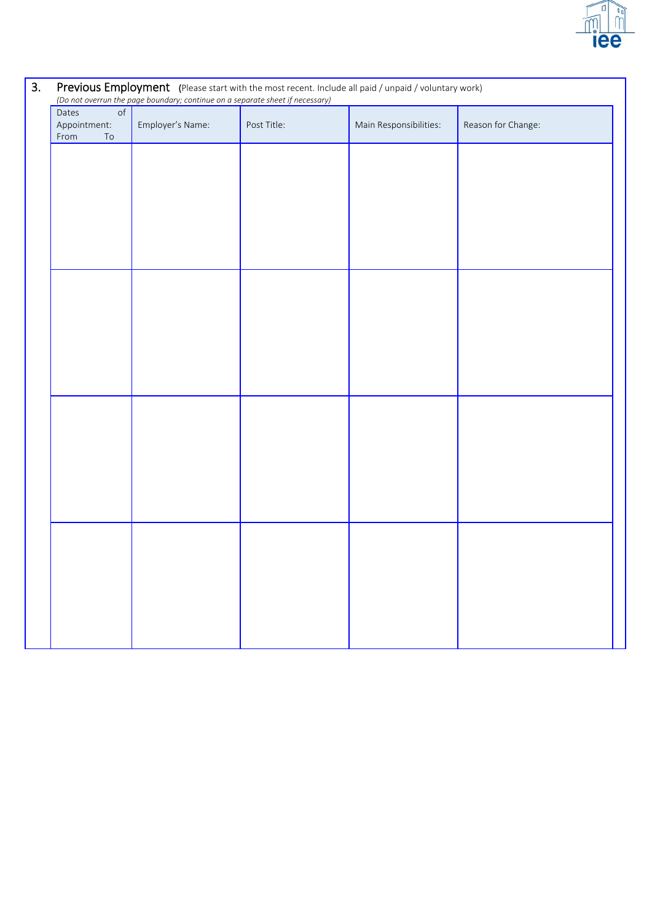

# 3. Previous Employment (Please start with the most recent. Include all paid / unpaid / voluntary work) *(Do not overrun the page boundary; continue on a separate sheet if necessary)* Dates of Appointment: From To Employer's Name: Post Title: Main Responsibilities: Reason for Change: the company of the company of the the contract of the contract of the contract of the contract of the contract of the contract of the contract of the contract of the contract of the contract of the contract of the contract of the contract of the contract of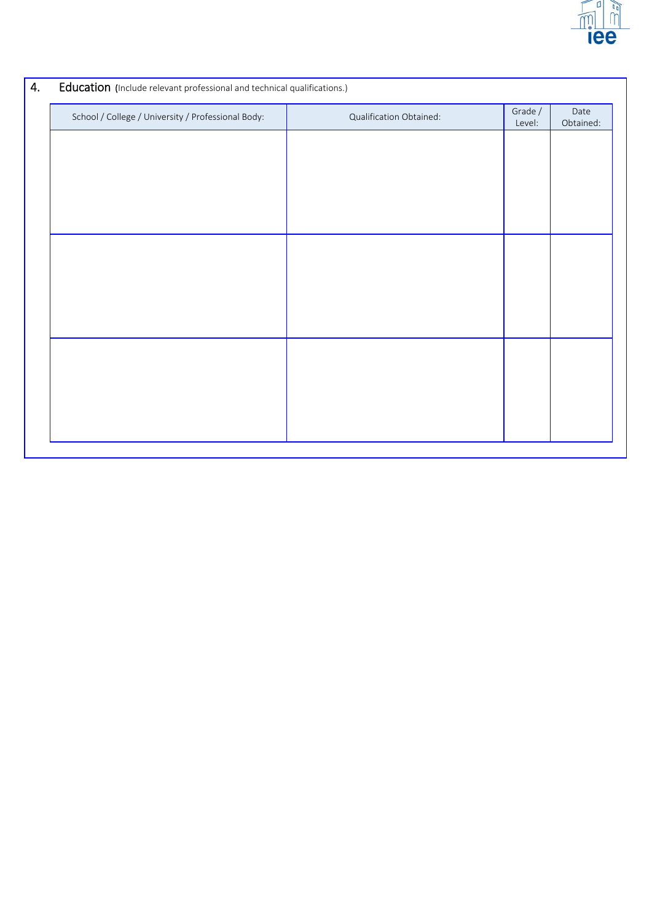

| School / College / University / Professional Body: | Qualification Obtained: | Grade /<br>Level: | Date<br>Obtained: |
|----------------------------------------------------|-------------------------|-------------------|-------------------|
|                                                    |                         |                   |                   |
|                                                    |                         |                   |                   |
|                                                    |                         |                   |                   |
|                                                    |                         |                   |                   |
|                                                    |                         |                   |                   |
|                                                    |                         |                   |                   |
|                                                    |                         |                   |                   |
|                                                    |                         |                   |                   |
|                                                    |                         |                   |                   |
|                                                    |                         |                   |                   |
|                                                    |                         |                   |                   |
|                                                    |                         |                   |                   |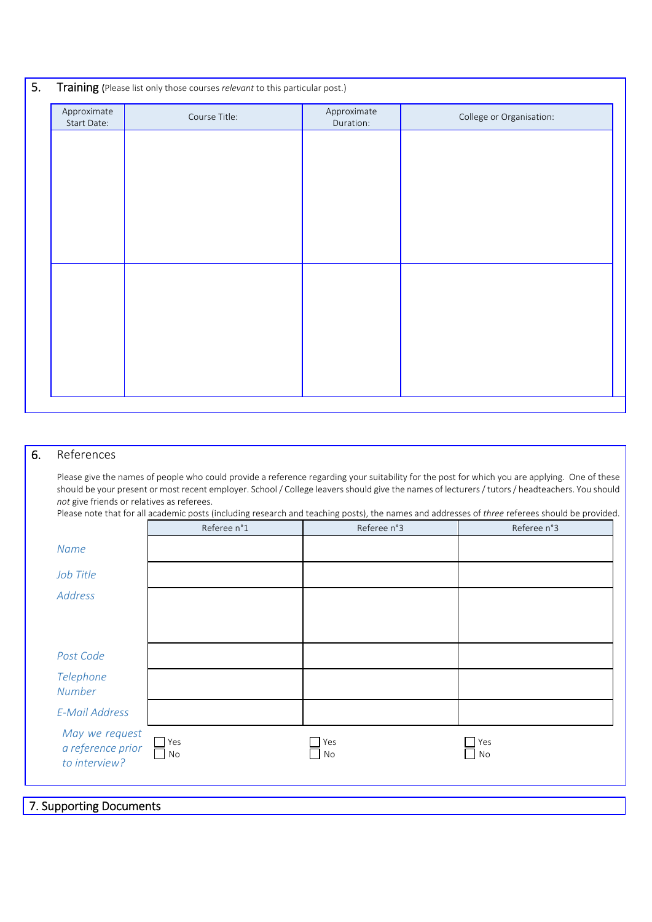| 5. | Training (Please list only those courses relevant to this particular post.) |               |                          |                          |  |  |
|----|-----------------------------------------------------------------------------|---------------|--------------------------|--------------------------|--|--|
|    | Approximate<br>Start Date:                                                  | Course Title: | Approximate<br>Duration: | College or Organisation: |  |  |
|    |                                                                             |               |                          |                          |  |  |
|    |                                                                             |               |                          |                          |  |  |
|    |                                                                             |               |                          |                          |  |  |
|    |                                                                             |               |                          |                          |  |  |
|    |                                                                             |               |                          |                          |  |  |
|    |                                                                             |               |                          |                          |  |  |
|    |                                                                             |               |                          |                          |  |  |
|    |                                                                             |               |                          |                          |  |  |
|    |                                                                             |               |                          |                          |  |  |
|    |                                                                             |               |                          |                          |  |  |
|    |                                                                             |               |                          |                          |  |  |

## 6. References

Please give the names of people who could provide a reference regarding your suitability for the post for which you are applying. One of these should be your present or most recent employer. School / College leavers should give the names of lecturers / tutors / headteachers. You should *not* give friends or relatives as referees.

| Please note that for all academic posts (including research and teaching posts), the names and addresses of three referees should be provided. |
|------------------------------------------------------------------------------------------------------------------------------------------------|
|------------------------------------------------------------------------------------------------------------------------------------------------|

|                                                      | Referee n°1           | Referee n°3                                 | Referee n°3                            |
|------------------------------------------------------|-----------------------|---------------------------------------------|----------------------------------------|
| Name                                                 |                       |                                             |                                        |
| Job Title                                            |                       |                                             |                                        |
| Address                                              |                       |                                             |                                        |
|                                                      |                       |                                             |                                        |
|                                                      |                       |                                             |                                        |
| Post Code                                            |                       |                                             |                                        |
| Telephone<br>Number                                  |                       |                                             |                                        |
| <b>E-Mail Address</b>                                |                       |                                             |                                        |
| May we request<br>a reference prior<br>to interview? | $\Box$ Yes<br>┓<br>No | Yes<br>$\mathbf{I}$<br>No<br>$\blacksquare$ | Yes<br>$\mathsf{No}$<br>$\blacksquare$ |
|                                                      |                       |                                             |                                        |

7. Supporting Documents